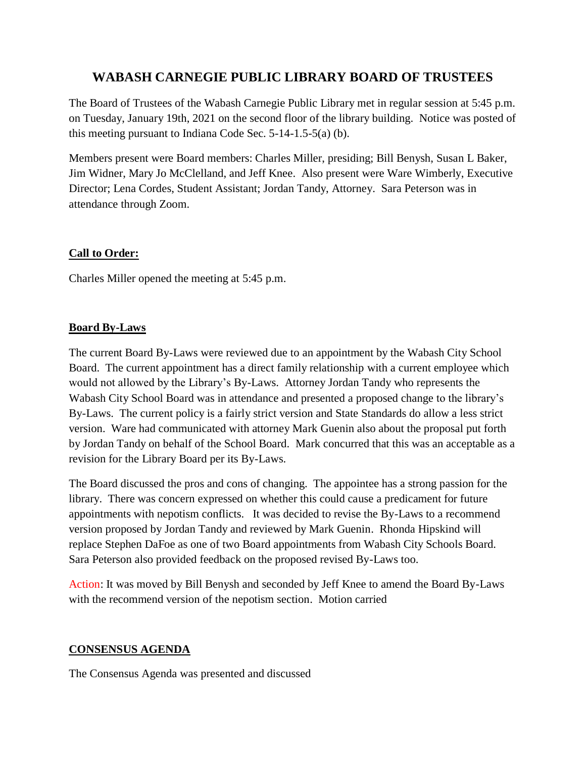# **WABASH CARNEGIE PUBLIC LIBRARY BOARD OF TRUSTEES**

The Board of Trustees of the Wabash Carnegie Public Library met in regular session at 5:45 p.m. on Tuesday, January 19th, 2021 on the second floor of the library building. Notice was posted of this meeting pursuant to Indiana Code Sec. 5-14-1.5-5(a) (b).

Members present were Board members: Charles Miller, presiding; Bill Benysh, Susan L Baker, Jim Widner, Mary Jo McClelland, and Jeff Knee. Also present were Ware Wimberly, Executive Director; Lena Cordes, Student Assistant; Jordan Tandy, Attorney. Sara Peterson was in attendance through Zoom.

# **Call to Order:**

Charles Miller opened the meeting at 5:45 p.m.

# **Board By-Laws**

The current Board By-Laws were reviewed due to an appointment by the Wabash City School Board. The current appointment has a direct family relationship with a current employee which would not allowed by the Library's By-Laws. Attorney Jordan Tandy who represents the Wabash City School Board was in attendance and presented a proposed change to the library's By-Laws. The current policy is a fairly strict version and State Standards do allow a less strict version. Ware had communicated with attorney Mark Guenin also about the proposal put forth by Jordan Tandy on behalf of the School Board. Mark concurred that this was an acceptable as a revision for the Library Board per its By-Laws.

The Board discussed the pros and cons of changing. The appointee has a strong passion for the library. There was concern expressed on whether this could cause a predicament for future appointments with nepotism conflicts. It was decided to revise the By-Laws to a recommend version proposed by Jordan Tandy and reviewed by Mark Guenin. Rhonda Hipskind will replace Stephen DaFoe as one of two Board appointments from Wabash City Schools Board. Sara Peterson also provided feedback on the proposed revised By-Laws too.

Action: It was moved by Bill Benysh and seconded by Jeff Knee to amend the Board By-Laws with the recommend version of the nepotism section. Motion carried

# **CONSENSUS AGENDA**

The Consensus Agenda was presented and discussed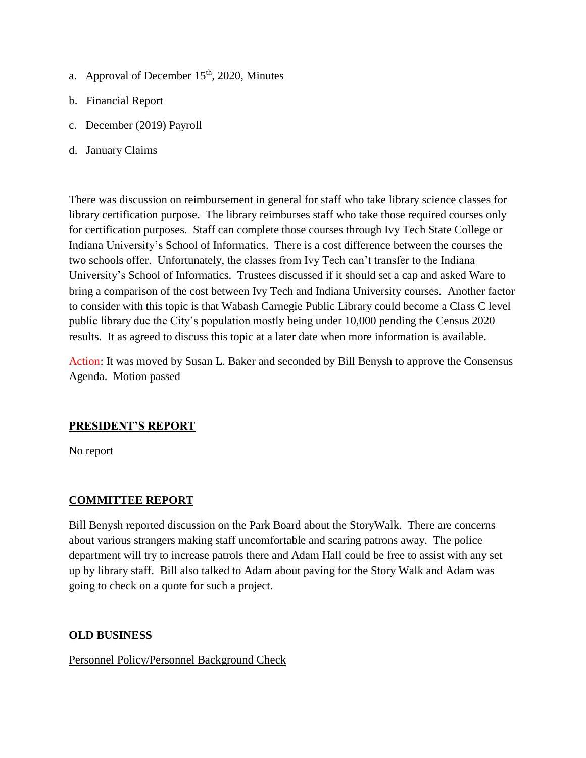- a. Approval of December  $15<sup>th</sup>$ , 2020, Minutes
- b. Financial Report
- c. December (2019) Payroll
- d. January Claims

There was discussion on reimbursement in general for staff who take library science classes for library certification purpose. The library reimburses staff who take those required courses only for certification purposes. Staff can complete those courses through Ivy Tech State College or Indiana University's School of Informatics. There is a cost difference between the courses the two schools offer. Unfortunately, the classes from Ivy Tech can't transfer to the Indiana University's School of Informatics. Trustees discussed if it should set a cap and asked Ware to bring a comparison of the cost between Ivy Tech and Indiana University courses. Another factor to consider with this topic is that Wabash Carnegie Public Library could become a Class C level public library due the City's population mostly being under 10,000 pending the Census 2020 results. It as agreed to discuss this topic at a later date when more information is available.

Action: It was moved by Susan L. Baker and seconded by Bill Benysh to approve the Consensus Agenda. Motion passed

# **PRESIDENT'S REPORT**

No report

# **COMMITTEE REPORT**

Bill Benysh reported discussion on the Park Board about the StoryWalk. There are concerns about various strangers making staff uncomfortable and scaring patrons away. The police department will try to increase patrols there and Adam Hall could be free to assist with any set up by library staff. Bill also talked to Adam about paving for the Story Walk and Adam was going to check on a quote for such a project.

# **OLD BUSINESS**

Personnel Policy/Personnel Background Check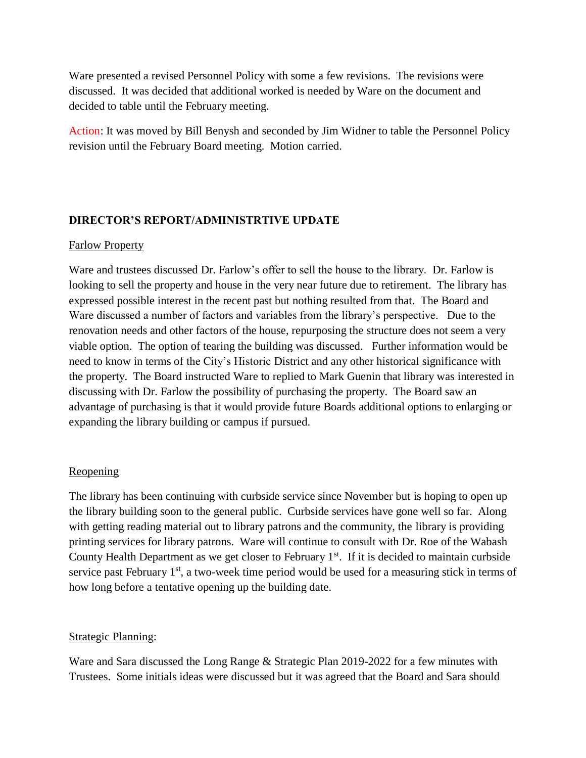Ware presented a revised Personnel Policy with some a few revisions. The revisions were discussed. It was decided that additional worked is needed by Ware on the document and decided to table until the February meeting.

Action: It was moved by Bill Benysh and seconded by Jim Widner to table the Personnel Policy revision until the February Board meeting. Motion carried.

## **DIRECTOR'S REPORT/ADMINISTRTIVE UPDATE**

#### Farlow Property

Ware and trustees discussed Dr. Farlow's offer to sell the house to the library. Dr. Farlow is looking to sell the property and house in the very near future due to retirement. The library has expressed possible interest in the recent past but nothing resulted from that. The Board and Ware discussed a number of factors and variables from the library's perspective. Due to the renovation needs and other factors of the house, repurposing the structure does not seem a very viable option. The option of tearing the building was discussed. Further information would be need to know in terms of the City's Historic District and any other historical significance with the property. The Board instructed Ware to replied to Mark Guenin that library was interested in discussing with Dr. Farlow the possibility of purchasing the property. The Board saw an advantage of purchasing is that it would provide future Boards additional options to enlarging or expanding the library building or campus if pursued.

## Reopening

The library has been continuing with curbside service since November but is hoping to open up the library building soon to the general public. Curbside services have gone well so far. Along with getting reading material out to library patrons and the community, the library is providing printing services for library patrons. Ware will continue to consult with Dr. Roe of the Wabash County Health Department as we get closer to February  $1<sup>st</sup>$ . If it is decided to maintain curbside service past February  $1<sup>st</sup>$ , a two-week time period would be used for a measuring stick in terms of how long before a tentative opening up the building date.

## Strategic Planning:

Ware and Sara discussed the Long Range & Strategic Plan 2019-2022 for a few minutes with Trustees. Some initials ideas were discussed but it was agreed that the Board and Sara should